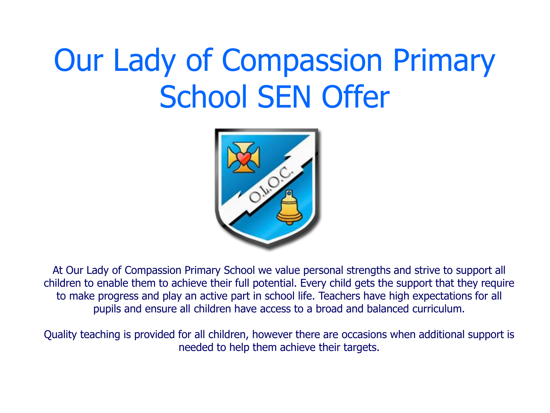# Our Lady of Compassion Primary School SEN Offer



At Our Lady of Compassion Primary School we value personal strengths and strive to support all children to enable them to achieve their full potential. Every child gets the support that they require to make progress and play an active part in school life. Teachers have high expectations for all pupils and ensure all children have access to a broad and balanced curriculum.

Quality teaching is provided for all children, however there are occasions when additional support is needed to help them achieve their targets.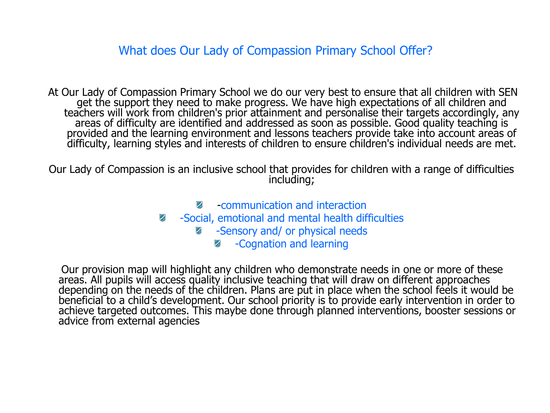What does Our Lady of Compassion Primary School Offer?

At Our Lady of Compassion Primary School we do our very best to ensure that all children with SEN<br>get the support they need to make progress. We have high expectations of all children and<br>teachers will work from children's provided and the learning environment and lessons teachers provide take into account areas of difficulty, learning styles and interests of children to ensure children's individual needs are met.

Our Lady of Compassion is an inclusive school that provides for children with a range of difficulties including;

- -communication and interaction
- $\mathbf{z}$ -Social, emotional and mental health difficulties
	- -Sensory and/ or physical needs 老
		- $\mathbf{z}$ -Cognation and learning

 Our provision map will highlight any children who demonstrate needs in one or more of these areas. All pupils will access quality inclusive teaching that will draw on different approaches depending on the needs of the children. Plans are put in place when the school feels it would be beneficial to a child's development. Our school priority is to provide early intervention in order to achieve targeted outcomes. This maybe done through planned interventions, booster sessions or advice from external agencies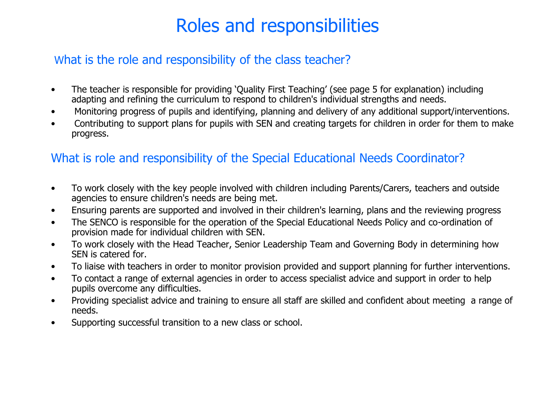## Roles and responsibilities

## What is the role and responsibility of the class teacher?

- The teacher is responsible for providing 'Quality First Teaching' (see page 5 for explanation) including adapting and refining the curriculum to respond to children's individual strengths and needs.
- Monitoring progress of pupils and identifying, planning and delivery of any additional support/interventions.
- Contributing to support plans for pupils with SEN and creating targets for children in order for them to make progress.

## What is role and responsibility of the Special Educational Needs Coordinator?

- To work closely with the key people involved with children including Parents/Carers, teachers and outside agencies to ensure children's needs are being met.
- Ensuring parents are supported and involved in their children's learning, plans and the reviewing progress
- The SENCO is responsible for the operation of the Special Educational Needs Policy and co-ordination of provision made for individual children with SEN.
- To work closely with the Head Teacher, Senior Leadership Team and Governing Body in determining how SEN is catered for.
- To liaise with teachers in order to monitor provision provided and support planning for further interventions.
- To contact a range of external agencies in order to access specialist advice and support in order to help pupils overcome any difficulties.
- Providing specialist advice and training to ensure all staff are skilled and confident about meeting a range of needs.
- Supporting successful transition to a new class or school.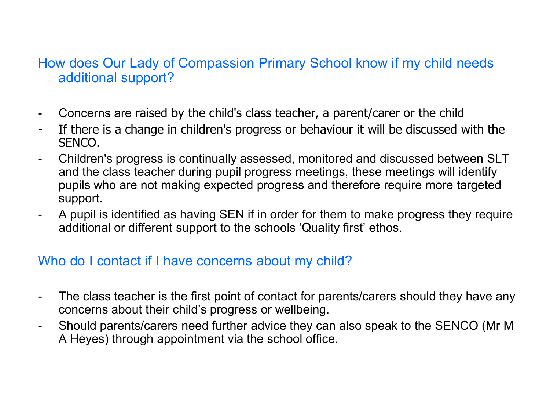## How does Our Lady of Compassion Primary School know if my child needs additional support?

- Concerns are raised by the child's class teacher, a parent/carer or the child
- If there is a change in children's progress or behaviour it will be discussed with the SENCO.
- Children's progress is continually assessed, monitored and discussed between SLT and the class teacher during pupil progress meetings, these meetings will identify pupils who are not making expected progress and therefore require more targeted support.
- A pupil is identified as having SEN if in order for them to make progress they require additional or different support to the schools 'Quality first' ethos.

## Who do I contact if I have concerns about my child?

- The class teacher is the first point of contact for parents/carers should they have any concerns about their child's progress or wellbeing.
- Should parents/carers need further advice they can also speak to the SENCO (Mr M A Heyes) through appointment via the school office.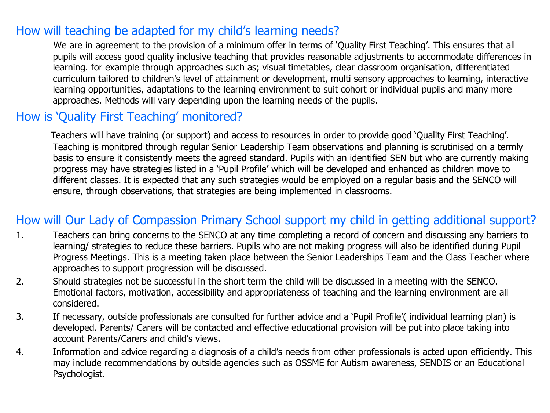## How will teaching be adapted for my child's learning needs?

 We are in agreement to the provision of a minimum offer in terms of 'Quality First Teaching'. This ensures that all pupils will access good quality inclusive teaching that provides reasonable adjustments to accommodate differences in learning. for example through approaches such as; visual timetables, clear classroom organisation, differentiated curriculum tailored to children's level of attainment or development, multi sensory approaches to learning, interactive learning opportunities, adaptations to the learning environment to suit cohort or individual pupils and many more approaches. Methods will vary depending upon the learning needs of the pupils.

## How is 'Quality First Teaching' monitored?

 Teachers will have training (or support) and access to resources in order to provide good 'Quality First Teaching'. Teaching is monitored through regular Senior Leadership Team observations and planning is scrutinised on a termly basis to ensure it consistently meets the agreed standard. Pupils with an identified SEN but who are currently making progress may have strategies listed in a 'Pupil Profile' which will be developed and enhanced as children move to different classes. It is expected that any such strategies would be employed on a regular basis and the SENCO will ensure, through observations, that strategies are being implemented in classrooms.

## How will Our Lady of Compassion Primary School support my child in getting additional support?

- 1. Teachers can bring concerns to the SENCO at any time completing a record of concern and discussing any barriers to learning/ strategies to reduce these barriers. Pupils who are not making progress will also be identified during Pupil Progress Meetings. This is a meeting taken place between the Senior Leaderships Team and the Class Teacher where approaches to support progression will be discussed.
- 2. Should strategies not be successful in the short term the child will be discussed in a meeting with the SENCO. Emotional factors, motivation, accessibility and appropriateness of teaching and the learning environment are all considered.
- 3. If necessary, outside professionals are consulted for further advice and a 'Pupil Profile'( individual learning plan) is developed. Parents/ Carers will be contacted and effective educational provision will be put into place taking into account Parents/Carers and child's views.
- 4. Information and advice regarding a diagnosis of a child's needs from other professionals is acted upon efficiently. This may include recommendations by outside agencies such as OSSME for Autism awareness, SENDIS or an Educational Psychologist.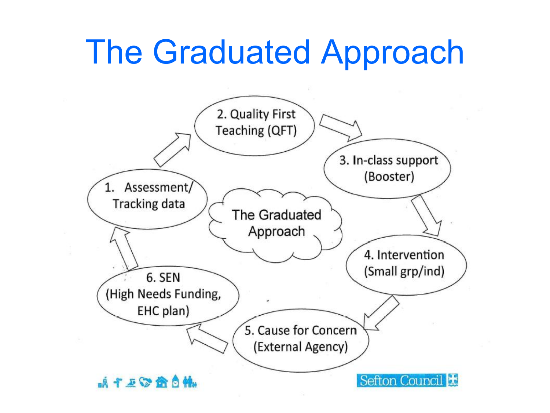## The Graduated Approach

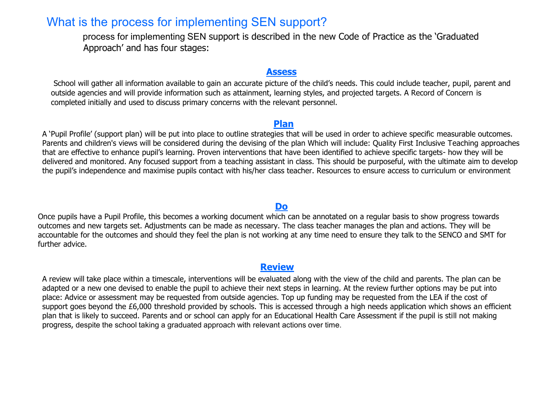### What is the process for implementing SEN support?

 process for implementing SEN support is described in the new Code of Practice as the 'Graduated Approach' and has four stages:

#### **Assess**

School will gather all information available to gain an accurate picture of the child's needs. This could include teacher, pupil, parent and outside agencies and will provide information such as attainment, learning styles, and projected targets. A Record of Concern is completed initially and used to discuss primary concerns with the relevant personnel.

#### **Plan**

A 'Pupil Profile' (support plan) will be put into place to outline strategies that will be used in order to achieve specific measurable outcomes. Parents and children's views will be considered during the devising of the plan Which will include: Quality First Inclusive Teaching approaches that are effective to enhance pupil's learning. Proven interventions that have been identified to achieve specific targets- how they will be delivered and monitored. Any focused support from a teaching assistant in class. This should be purposeful, with the ultimate aim to develop the pupil's independence and maximise pupils contact with his/her class teacher. Resources to ensure access to curriculum or environment

#### **Do**

Once pupils have a Pupil Profile, this becomes a working document which can be annotated on a regular basis to show progress towards outcomes and new targets set. Adjustments can be made as necessary. The class teacher manages the plan and actions. They will be accountable for the outcomes and should they feel the plan is not working at any time need to ensure they talk to the SENCO and SMT for further advice.

#### **Review**

A review will take place within a timescale, interventions will be evaluated along with the view of the child and parents. The plan can be adapted or a new one devised to enable the pupil to achieve their next steps in learning. At the review further options may be put into place: Advice or assessment may be requested from outside agencies. Top up funding may be requested from the LEA if the cost of support goes beyond the £6,000 threshold provided by schools. This is accessed through a high needs application which shows an efficient plan that is likely to succeed. Parents and or school can apply for an Educational Health Care Assessment if the pupil is still not making progress, despite the school taking a graduated approach with relevant actions over time.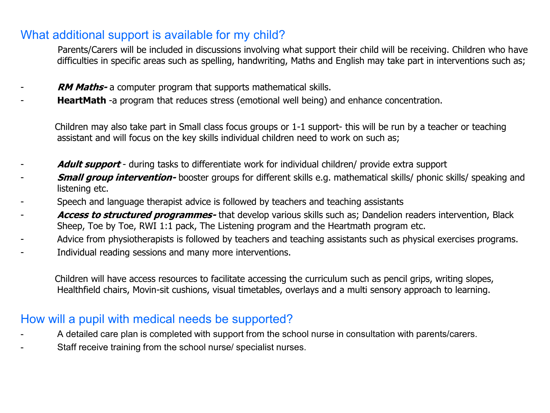## What additional support is available for my child?

 Parents/Carers will be included in discussions involving what support their child will be receiving. Children who have difficulties in specific areas such as spelling, handwriting, Maths and English may take part in interventions such as;

- **RM Maths-** a computer program that supports mathematical skills.
- **HeartMath** -a program that reduces stress (emotional well being) and enhance concentration.

 Children may also take part in Small class focus groups or 1-1 support- this will be run by a teacher or teaching assistant and will focus on the key skills individual children need to work on such as;

- Adult support during tasks to differentiate work for individual children/ provide extra support
- **Small group intervention-** booster groups for different skills e.g. mathematical skills/ phonic skills/ speaking and listening etc.
- Speech and language therapist advice is followed by teachers and teaching assistants
- Access to structured programmes- that develop various skills such as; Dandelion readers intervention, Black Sheep, Toe by Toe, RWI 1:1 pack, The Listening program and the Heartmath program etc.
- Advice from physiotherapists is followed by teachers and teaching assistants such as physical exercises programs.
- Individual reading sessions and many more interventions.

 Children will have access resources to facilitate accessing the curriculum such as pencil grips, writing slopes, Healthfield chairs, Movin-sit cushions, visual timetables, overlays and a multi sensory approach to learning.

### How will a pupil with medical needs be supported?

- A detailed care plan is completed with support from the school nurse in consultation with parents/carers.
- Staff receive training from the school nurse/ specialist nurses.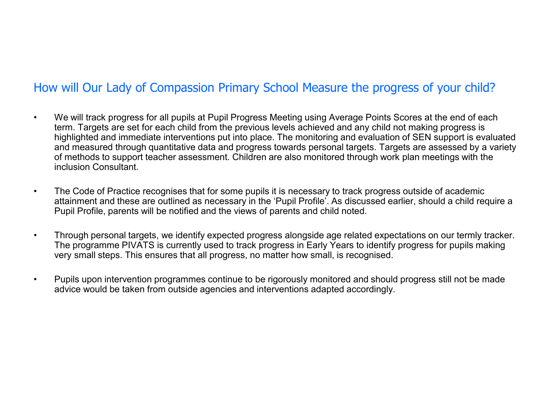## How will Our Lady of Compassion Primary School Measure the progress of your child?

- We will track progress for all pupils at Pupil Progress Meeting using Average Points Scores at the end of each term. Targets are set for each child from the previous levels achieved and any child not making progress is highlighted and immediate interventions put into place. The monitoring and evaluation of SEN support is evaluated and measured through quantitative data and progress towards personal targets. Targets are assessed by a variety of methods to support teacher assessment. Children are also monitored through work plan meetings with the inclusion Consultant.
- The Code of Practice recognises that for some pupils it is necessary to track progress outside of academic attainment and these are outlined as necessary in the 'Pupil Profile'. As discussed earlier, should a child require a Pupil Profile, parents will be notified and the views of parents and child noted.
- Through personal targets, we identify expected progress alongside age related expectations on our termly tracker. The programme PIVATS is currently used to track progress in Early Years to identify progress for pupils making very small steps. This ensures that all progress, no matter how small, is recognised.
- Pupils upon intervention programmes continue to be rigorously monitored and should progress still not be made advice would be taken from outside agencies and interventions adapted accordingly.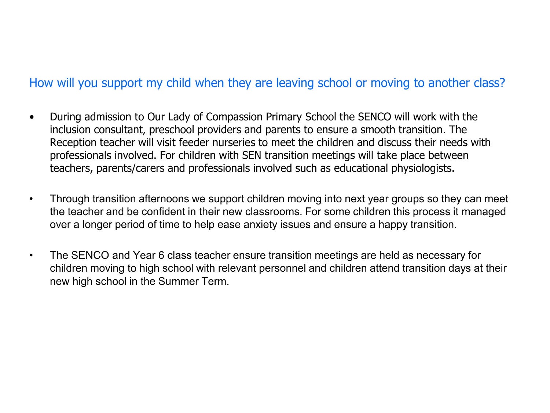## How will you support my child when they are leaving school or moving to another class?

- During admission to Our Lady of Compassion Primary School the SENCO will work with the inclusion consultant, preschool providers and parents to ensure a smooth transition. The Reception teacher will visit feeder nurseries to meet the children and discuss their needs with professionals involved. For children with SEN transition meetings will take place between teachers, parents/carers and professionals involved such as educational physiologists.
- Through transition afternoons we support children moving into next year groups so they can meet the teacher and be confident in their new classrooms. For some children this process it managed over a longer period of time to help ease anxiety issues and ensure a happy transition.
- The SENCO and Year 6 class teacher ensure transition meetings are held as necessary for children moving to high school with relevant personnel and children attend transition days at their new high school in the Summer Term.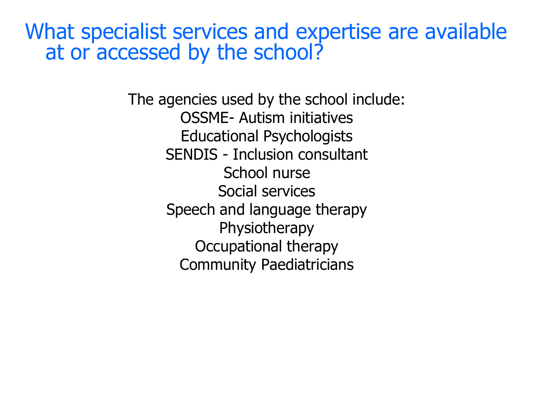What specialist services and expertise are available at or accessed by the school?

> The agencies used by the school include: OSSME- Autism initiatives Educational Psychologists SENDIS - Inclusion consultant School nurse Social services Speech and language therapy **Physiotherapy** Occupational therapy Community Paediatricians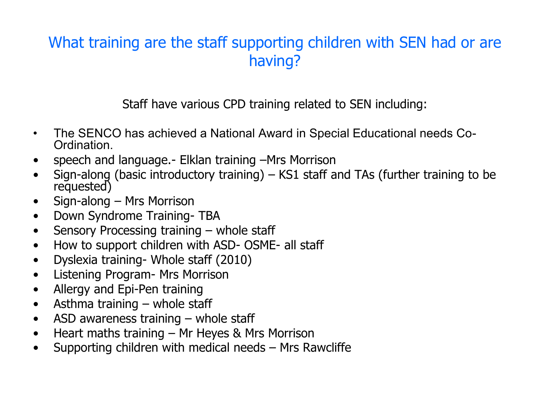## What training are the staff supporting children with SEN had or are having?

Staff have various CPD training related to SEN including:

- The SENCO has achieved a National Award in Special Educational needs Co- Ordination.
- speech and language.- Elklan training –Mrs Morrison
- Sign-along (basic introductory training) KS1 staff and TAs (further training to be requested)
- Sign-along Mrs Morrison
- Down Syndrome Training- TBA
- Sensory Processing training whole staff
- How to support children with ASD- OSME- all staff
- Dyslexia training- Whole staff (2010)
- Listening Program- Mrs Morrison
- Allergy and Epi-Pen training
- Asthma training whole staff
- ASD awareness training whole staff
- Heart maths training Mr Heyes & Mrs Morrison
- Supporting children with medical needs Mrs Rawcliffe